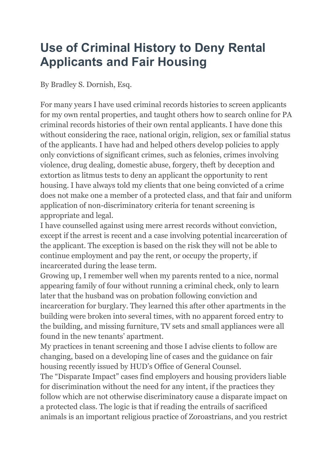## **Use of Criminal History to Deny Rental Applicants and Fair Housing**

By Bradley S. Dornish, Esq.

For many years I have used criminal records histories to screen applicants for my own rental properties, and taught others how to search online for PA criminal records histories of their own rental applicants. I have done this without considering the race, national origin, religion, sex or familial status of the applicants. I have had and helped others develop policies to apply only convictions of significant crimes, such as felonies, crimes involving violence, drug dealing, domestic abuse, forgery, theft by deception and extortion as litmus tests to deny an applicant the opportunity to rent housing. I have always told my clients that one being convicted of a crime does not make one a member of a protected class, and that fair and uniform application of non-discriminatory criteria for tenant screening is appropriate and legal.

I have counselled against using mere arrest records without conviction, except if the arrest is recent and a case involving potential incarceration of the applicant. The exception is based on the risk they will not be able to continue employment and pay the rent, or occupy the property, if incarcerated during the lease term.

Growing up, I remember well when my parents rented to a nice, normal appearing family of four without running a criminal check, only to learn later that the husband was on probation following conviction and incarceration for burglary. They learned this after other apartments in the building were broken into several times, with no apparent forced entry to the building, and missing furniture, TV sets and small appliances were all found in the new tenants' apartment.

My practices in tenant screening and those I advise clients to follow are changing, based on a developing line of cases and the guidance on fair housing recently issued by HUD's Office of General Counsel.

The "Disparate Impact" cases find employers and housing providers liable for discrimination without the need for any intent, if the practices they follow which are not otherwise discriminatory cause a disparate impact on a protected class. The logic is that if reading the entrails of sacrificed animals is an important religious practice of Zoroastrians, and you restrict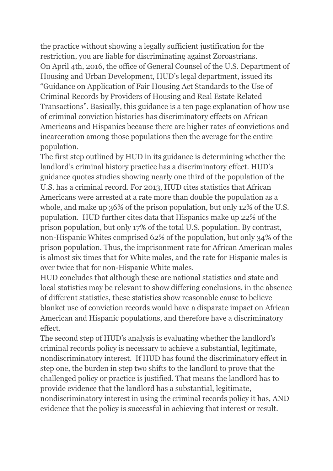the practice without showing a legally sufficient justification for the restriction, you are liable for discriminating against Zoroastrians. On April 4th, 2016, the office of General Counsel of the U.S. Department of Housing and Urban Development, HUD's legal department, issued its "Guidance on Application of Fair Housing Act Standards to the Use of Criminal Records by Providers of Housing and Real Estate Related Transactions". Basically, this guidance is a ten page explanation of how use of criminal conviction histories has discriminatory effects on African Americans and Hispanics because there are higher rates of convictions and incarceration among those populations then the average for the entire population.

The first step outlined by HUD in its guidance is determining whether the landlord's criminal history practice has a discriminatory effect. HUD's guidance quotes studies showing nearly one third of the population of the U.S. has a criminal record. For 2013, HUD cites statistics that African Americans were arrested at a rate more than double the population as a whole, and make up 36% of the prison population, but only 12% of the U.S. population. HUD further cites data that Hispanics make up 22% of the prison population, but only 17% of the total U.S. population. By contrast, non-Hispanic Whites comprised 62% of the population, but only 34% of the prison population. Thus, the imprisonment rate for African American males is almost six times that for White males, and the rate for Hispanic males is over twice that for non-Hispanic White males.

HUD concludes that although these are national statistics and state and local statistics may be relevant to show differing conclusions, in the absence of different statistics, these statistics show reasonable cause to believe blanket use of conviction records would have a disparate impact on African American and Hispanic populations, and therefore have a discriminatory effect.

The second step of HUD's analysis is evaluating whether the landlord's criminal records policy is necessary to achieve a substantial, legitimate, nondiscriminatory interest. If HUD has found the discriminatory effect in step one, the burden in step two shifts to the landlord to prove that the challenged policy or practice is justified. That means the landlord has to provide evidence that the landlord has a substantial, legitimate, nondiscriminatory interest in using the criminal records policy it has, AND evidence that the policy is successful in achieving that interest or result.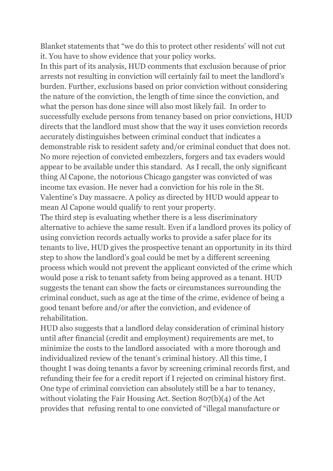Blanket statements that "we do this to protect other residents' will not cut it. You have to show evidence that your policy works.

In this part of its analysis, HUD comments that exclusion because of prior arrests not resulting in conviction will certainly fail to meet the landlord's burden. Further, exclusions based on prior conviction without considering the nature of the conviction, the length of time since the conviction, and what the person has done since will also most likely fail. In order to successfully exclude persons from tenancy based on prior convictions, HUD directs that the landlord must show that the way it uses conviction records accurately distinguishes between criminal conduct that indicates a demonstrable risk to resident safety and/or criminal conduct that does not. No more rejection of convicted embezzlers, forgers and tax evaders would appear to be available under this standard. As I recall, the only significant thing Al Capone, the notorious Chicago gangster was convicted of was income tax evasion. He never had a conviction for his role in the St. Valentine's Day massacre. A policy as directed by HUD would appear to mean Al Capone would qualify to rent your property.

The third step is evaluating whether there is a less discriminatory alternative to achieve the same result. Even if a landlord proves its policy of using conviction records actually works to provide a safer place for its tenants to live, HUD gives the prospective tenant an opportunity in its third step to show the landlord's goal could be met by a different screening process which would not prevent the applicant convicted of the crime which would pose a risk to tenant safety from being approved as a tenant. HUD suggests the tenant can show the facts or circumstances surrounding the criminal conduct, such as age at the time of the crime, evidence of being a good tenant before and/or after the conviction, and evidence of rehabilitation.

HUD also suggests that a landlord delay consideration of criminal history until after financial (credit and employment) requirements are met, to minimize the costs to the landlord associated with a more thorough and individualized review of the tenant's criminal history. All this time, I thought I was doing tenants a favor by screening criminal records first, and refunding their fee for a credit report if I rejected on criminal history first. One type of criminal conviction can absolutely still be a bar to tenancy, without violating the Fair Housing Act. Section 807(b)(4) of the Act provides that refusing rental to one convicted of "illegal manufacture or